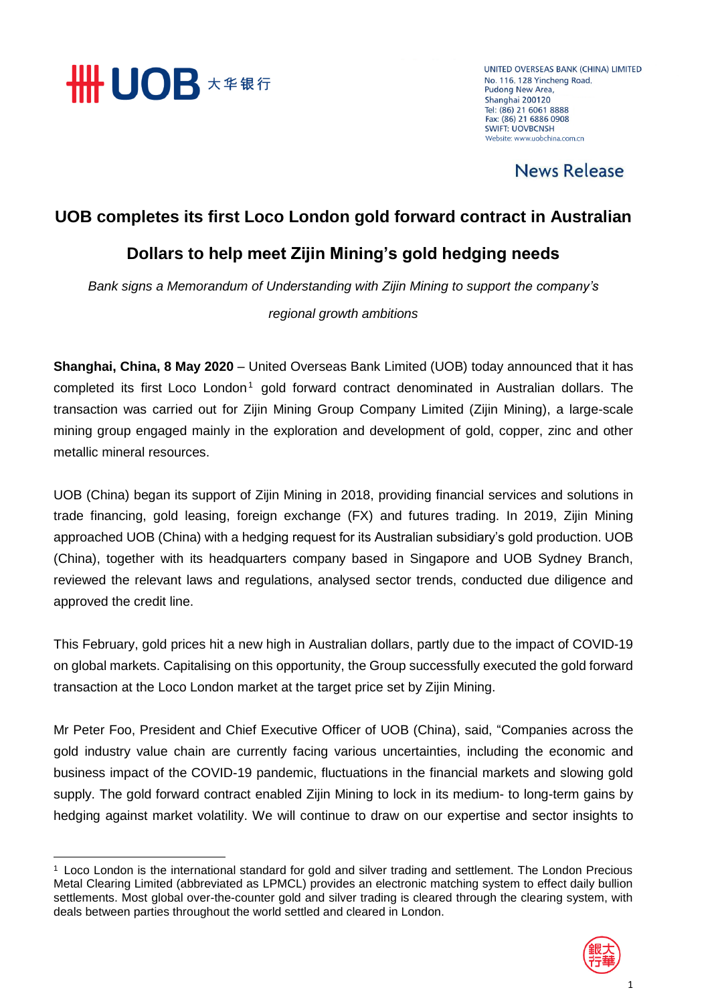

**.** 

UNITED OVERSEAS BANK (CHINA) LIMITED No. 116, 128 Yincheng Road, **Pudong New Area,** Shanghai 200120 Tel: (86) 21 6061 8888 Fax: (86) 21 6886 0908 **SWIFT: LIOVRCNSH** Website: www.uobchina.com.cn

News Release

### **UOB completes its first Loco London gold forward contract in Australian**

## **Dollars to help meet Zijin Mining's gold hedging needs**

*Bank signs a Memorandum of Understanding with Zijin Mining to support the company's* 

### *regional growth ambitions*

**Shanghai, China, 8 May 2020** – United Overseas Bank Limited (UOB) today announced that it has completed its first Loco London<sup>1</sup> gold forward contract denominated in Australian dollars. The transaction was carried out for Zijin Mining Group Company Limited (Zijin Mining), a large-scale mining group engaged mainly in the exploration and development of gold, copper, zinc and other metallic mineral resources.

UOB (China) began its support of Zijin Mining in 2018, providing financial services and solutions in trade financing, gold leasing, foreign exchange (FX) and futures trading. In 2019, Zijin Mining approached UOB (China) with a hedging request for its Australian subsidiary's gold production. UOB (China), together with its headquarters company based in Singapore and UOB Sydney Branch, reviewed the relevant laws and regulations, analysed sector trends, conducted due diligence and approved the credit line.

This February, gold prices hit a new high in Australian dollars, partly due to the impact of COVID-19 on global markets. Capitalising on this opportunity, the Group successfully executed the gold forward transaction at the Loco London market at the target price set by Zijin Mining.

Mr Peter Foo, President and Chief Executive Officer of UOB (China), said, "Companies across the gold industry value chain are currently facing various uncertainties, including the economic and business impact of the COVID-19 pandemic, fluctuations in the financial markets and slowing gold supply. The gold forward contract enabled Zijin Mining to lock in its medium- to long-term gains by hedging against market volatility. We will continue to draw on our expertise and sector insights to

<sup>1</sup> Loco London is the international standard for gold and silver trading and settlement. The London Precious Metal Clearing Limited (abbreviated as LPMCL) provides an electronic matching system to effect daily bullion settlements. Most global over-the-counter gold and silver trading is cleared through the clearing system, with deals between parties throughout the world settled and cleared in London.

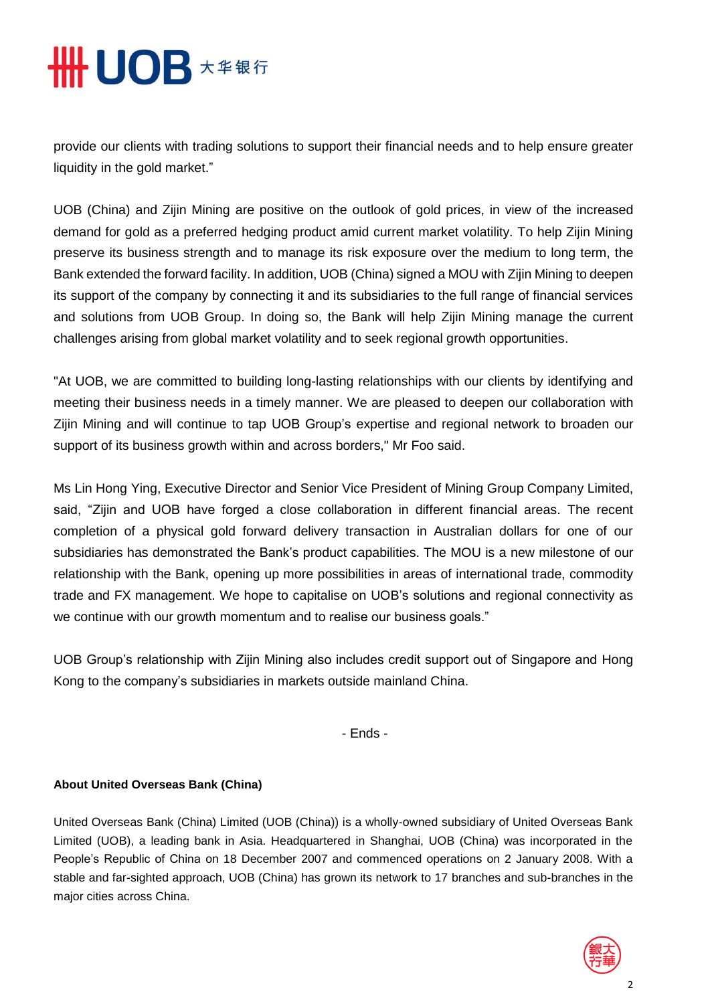# **# UOB 大华银行**

provide our clients with trading solutions to support their financial needs and to help ensure greater liquidity in the gold market."

UOB (China) and Zijin Mining are positive on the outlook of gold prices, in view of the increased demand for gold as a preferred hedging product amid current market volatility. To help Zijin Mining preserve its business strength and to manage its risk exposure over the medium to long term, the Bank extended the forward facility. In addition, UOB (China) signed a MOU with Zijin Mining to deepen its support of the company by connecting it and its subsidiaries to the full range of financial services and solutions from UOB Group. In doing so, the Bank will help Zijin Mining manage the current challenges arising from global market volatility and to seek regional growth opportunities.

"At UOB, we are committed to building long-lasting relationships with our clients by identifying and meeting their business needs in a timely manner. We are pleased to deepen our collaboration with Zijin Mining and will continue to tap UOB Group's expertise and regional network to broaden our support of its business growth within and across borders," Mr Foo said.

Ms Lin Hong Ying, Executive Director and Senior Vice President of Mining Group Company Limited, said, "Zijin and UOB have forged a close collaboration in different financial areas. The recent completion of a physical gold forward delivery transaction in Australian dollars for one of our subsidiaries has demonstrated the Bank's product capabilities. The MOU is a new milestone of our relationship with the Bank, opening up more possibilities in areas of international trade, commodity trade and FX management. We hope to capitalise on UOB's solutions and regional connectivity as we continue with our growth momentum and to realise our business goals."

UOB Group's relationship with Zijin Mining also includes credit support out of Singapore and Hong Kong to the company's subsidiaries in markets outside mainland China.

- Ends -

### **About United Overseas Bank (China)**

United Overseas Bank (China) Limited (UOB (China)) is a wholly-owned subsidiary of United Overseas Bank Limited (UOB), a leading bank in Asia. Headquartered in Shanghai, UOB (China) was incorporated in the People's Republic of China on 18 December 2007 and commenced operations on 2 January 2008. With a stable and far-sighted approach, UOB (China) has grown its network to 17 branches and sub-branches in the major cities across China.